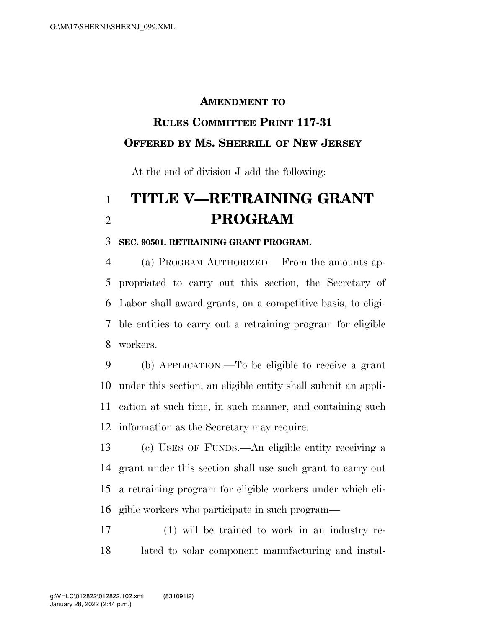## **AMENDMENT TO**

## **RULES COMMITTEE PRINT 117-31 OFFERED BY MS. SHERRILL OF NEW JERSEY**

At the end of division J add the following:

## **TITLE V—RETRAINING GRANT PROGRAM**

## **SEC. 90501. RETRAINING GRANT PROGRAM.**

 (a) PROGRAM AUTHORIZED.—From the amounts ap- propriated to carry out this section, the Secretary of Labor shall award grants, on a competitive basis, to eligi- ble entities to carry out a retraining program for eligible workers.

 (b) APPLICATION.—To be eligible to receive a grant under this section, an eligible entity shall submit an appli- cation at such time, in such manner, and containing such information as the Secretary may require.

 (c) USES OF FUNDS.—An eligible entity receiving a grant under this section shall use such grant to carry out a retraining program for eligible workers under which eli-gible workers who participate in such program—

 (1) will be trained to work in an industry re-lated to solar component manufacturing and instal